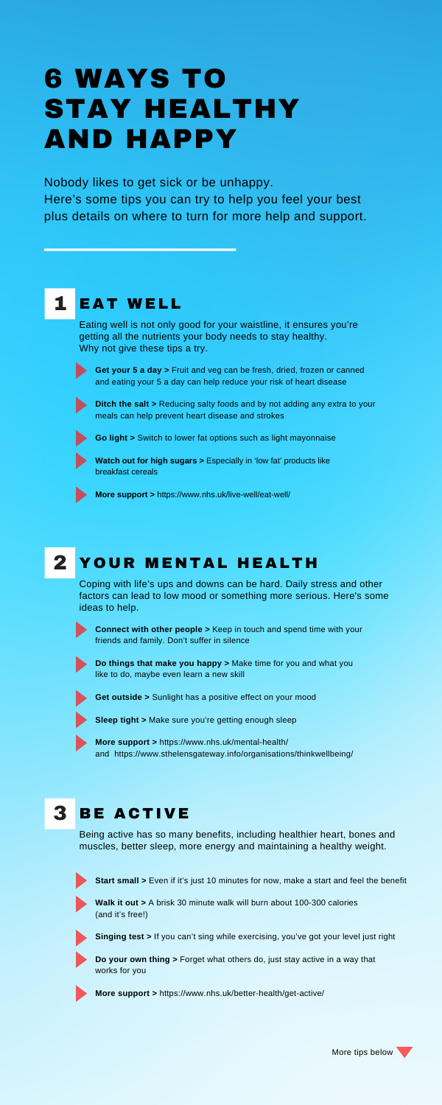**Ditch the salt >** Reducing salty foods and by not adding any extra to your meals can help prevent heart disease and strokes

**Get your 5 a day >** Fruit and veg can be fresh, dried, frozen or canned and eating your 5 a day can help reduce your risk of heart disease



**Watch out for high sugars > Especially in 'low fat' products like** breakfast cereals

#### 2 YOUR MENTAL HEALTH

**Go light >** Switch to lower fat options such as light mayonnaise

**More support >** <https://www.nhs.uk/live-well/eat-well/>

Coping with life's ups and downs can be hard. Daily stress and other factors can lead to low mood or something more serious. Here's some ideas to help.



**Connect with other people >** Keep in touch and spend time with your friends and family. Don't suffer in silence



**Do things that make you happy >** Make time for you and what you like to do, maybe even learn a new skill

**Get outside >** Sunlight has a positive effect on your mood

- **Sleep tight >** Make sure you're getting enough sleep
- 

**More support >** <https://www.nhs.uk/mental-health/> and <https://www.sthelensgateway.info/organisations/thinkwellbeing/>

# **3 BE ACTIVE**

Nobody likes to get sick or be unhappy.

Here's some tips you can try to help you feel your best plus details on where to turn for more help and support.

# 1 EAT WELL

Eating well is not only good for your waistline, it ensures you're getting all the nutrients your body needs to stay healthy. Why not give these tips a try.



# 6 WAYS TO STAY HEALTHY AND HAPPY



Being active has so many benefits, including healthier heart, bones and muscles, better sleep, more energy and maintaining a healthy weight.



**Start small >** Even if it's just 10 minutes for now, make a start and feel the benefit



**Walk it out >** A brisk 30 minute walk will burn about 100-300 calories (and it's free!)



**Singing test >** If you can't sing while exercising, you've got your level just right

**Do your own thing >** Forget what others do, just stay active in a way that works for you



**More support >** <https://www.nhs.uk/better-health/get-active/>